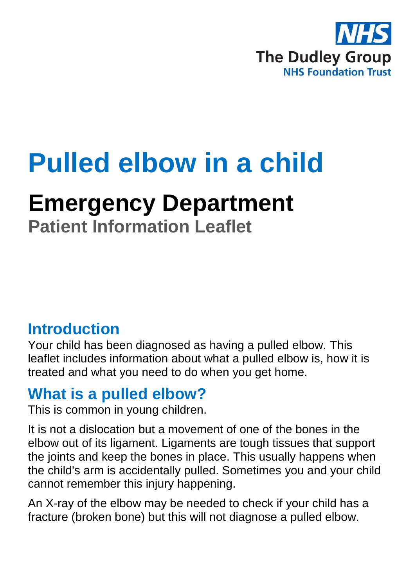

# **Pulled elbow in a child**

## **Emergency Department**

**Patient Information Leaflet**

#### **Introduction**

Your child has been diagnosed as having a pulled elbow. This leaflet includes information about what a pulled elbow is, how it is treated and what you need to do when you get home.

#### **What is a pulled elbow?**

This is common in young children.

It is not a dislocation but a movement of one of the bones in the elbow out of its ligament. Ligaments are tough tissues that support the joints and keep the bones in place. This usually happens when the child's arm is accidentally pulled. Sometimes you and your child cannot remember this injury happening.

An X-ray of the elbow may be needed to check if your child has a fracture (broken bone) but this will not diagnose a pulled elbow.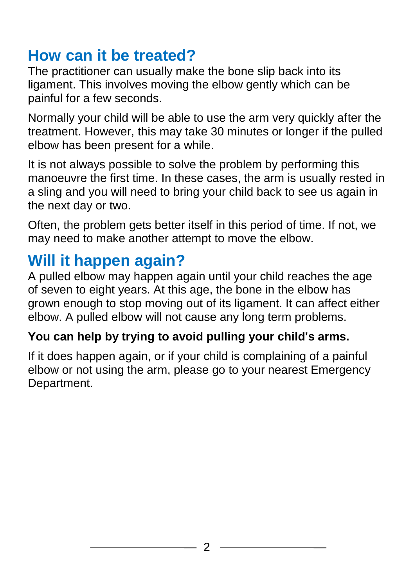### **How can it be treated?**

The practitioner can usually make the bone slip back into its ligament. This involves moving the elbow gently which can be painful for a few seconds.

Normally your child will be able to use the arm very quickly after the treatment. However, this may take 30 minutes or longer if the pulled elbow has been present for a while.

It is not always possible to solve the problem by performing this manoeuvre the first time. In these cases, the arm is usually rested in a sling and you will need to bring your child back to see us again in the next day or two.

Often, the problem gets better itself in this period of time. If not, we may need to make another attempt to move the elbow.

#### **Will it happen again?**

A pulled elbow may happen again until your child reaches the age of seven to eight years. At this age, the bone in the elbow has grown enough to stop moving out of its ligament. It can affect either elbow. A pulled elbow will not cause any long term problems.

#### **You can help by trying to avoid pulling your child's arms.**

If it does happen again, or if your child is complaining of a painful elbow or not using the arm, please go to your nearest Emergency Department.